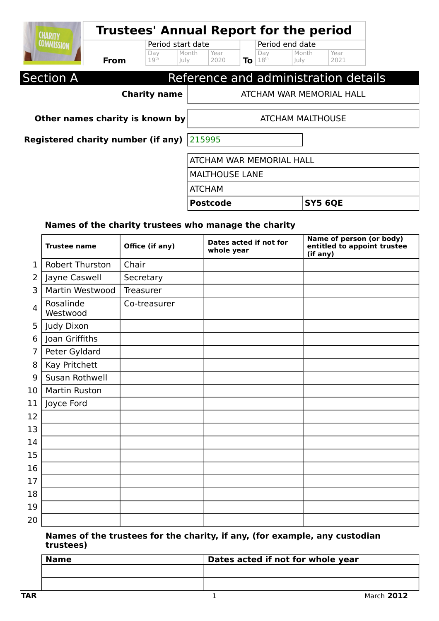| <b>CHARITY</b>                     |             | <b>Trustees' Annual Report for the period</b>        |                          |    |                         |                                  |                                      |  |
|------------------------------------|-------------|------------------------------------------------------|--------------------------|----|-------------------------|----------------------------------|--------------------------------------|--|
| <b>COMMISSION</b>                  | <b>From</b> | Period start date<br>Day<br>19 <sup>th</sup><br>July | Year<br>Month<br>2020    | To | Day<br>18 <sup>th</sup> | Period end date<br>Month<br>luly | Year<br>2021                         |  |
| <b>Section A</b>                   |             |                                                      |                          |    |                         |                                  | Reference and administration details |  |
|                                    |             | <b>Charity name</b>                                  |                          |    |                         |                                  | ATCHAM WAR MEMORIAL HALL             |  |
| Other names charity is known by    |             | <b>ATCHAM MALTHOUSE</b>                              |                          |    |                         |                                  |                                      |  |
| Registered charity number (if any) |             | 215995                                               |                          |    |                         |                                  |                                      |  |
|                                    |             |                                                      | ATCHAM WAR MEMORIAL HALL |    |                         |                                  |                                      |  |
|                                    |             |                                                      | <b>MALTHOUSE LANE</b>    |    |                         |                                  |                                      |  |

| <b>ATCHAM</b> |  |
|---------------|--|
|               |  |

Postcode SY5 6QE

#### **Names of the charity trustees who manage the charity**

|    | <b>Trustee name</b>    | Office (if any) | Dates acted if not for<br>whole year | <b>Name of person (or body)</b><br>entitled to appoint trustee<br>(if any) |
|----|------------------------|-----------------|--------------------------------------|----------------------------------------------------------------------------|
| 1  | <b>Robert Thurston</b> | Chair           |                                      |                                                                            |
| 2  | Jayne Caswell          | Secretary       |                                      |                                                                            |
| 3  | Martin Westwood        | Treasurer       |                                      |                                                                            |
| 4  | Rosalinde<br>Westwood  | Co-treasurer    |                                      |                                                                            |
| 5  | Judy Dixon             |                 |                                      |                                                                            |
| 6  | Joan Griffiths         |                 |                                      |                                                                            |
| 7  | Peter Gyldard          |                 |                                      |                                                                            |
| 8  | Kay Pritchett          |                 |                                      |                                                                            |
| 9  | Susan Rothwell         |                 |                                      |                                                                            |
| 10 | <b>Martin Ruston</b>   |                 |                                      |                                                                            |
| 11 | Joyce Ford             |                 |                                      |                                                                            |
| 12 |                        |                 |                                      |                                                                            |
| 13 |                        |                 |                                      |                                                                            |
| 14 |                        |                 |                                      |                                                                            |
| 15 |                        |                 |                                      |                                                                            |
| 16 |                        |                 |                                      |                                                                            |
| 17 |                        |                 |                                      |                                                                            |
| 18 |                        |                 |                                      |                                                                            |
| 19 |                        |                 |                                      |                                                                            |
| 20 |                        |                 |                                      |                                                                            |

#### **Names of the trustees for the charity, if any, (for example, any custodian trustees)**

| <b>Name</b> | Dates acted if not for whole year |
|-------------|-----------------------------------|
|             |                                   |
|             |                                   |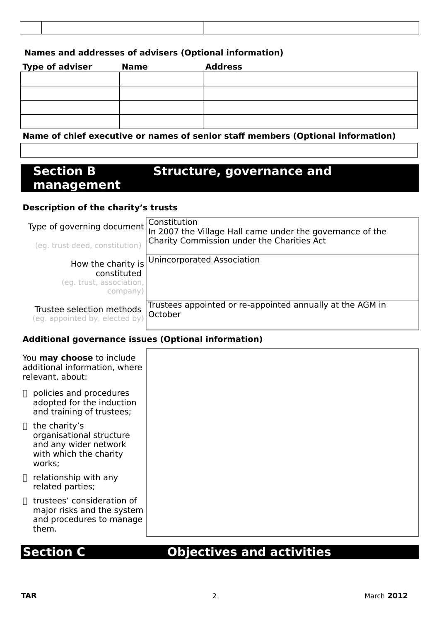#### **Names and addresses of advisers (Optional information)**

| <b>Type of adviser</b> | <b>Name</b> | <b>Address</b>                                                                                                     |
|------------------------|-------------|--------------------------------------------------------------------------------------------------------------------|
|                        |             |                                                                                                                    |
|                        |             |                                                                                                                    |
|                        |             |                                                                                                                    |
|                        |             |                                                                                                                    |
|                        |             | $\mathbf{u}$ and $\mathbf{v}$ and $\mathbf{v}$ and $\mathbf{v}$ and $\mathbf{v}$ and $\mathbf{v}$ and $\mathbf{v}$ |

#### **Name of chief executive or names of senior staff members (Optional information)**

## **Section B Structure, governance and management**

#### **Description of the charity's trusts**

| Type of governing document                                  | Constitution<br>In 2007 the Village Hall came under the governance of the |
|-------------------------------------------------------------|---------------------------------------------------------------------------|
| (eg. trust deed, constitution)                              | Charity Commission under the Charities Act                                |
| How the charity is                                          | Unincorporated Association                                                |
| constituted                                                 |                                                                           |
| (eg. trust, association,                                    |                                                                           |
| company)                                                    |                                                                           |
| Trustee selection methods<br>(eg. appointed by, elected by) | Trustees appointed or re-appointed annually at the AGM in<br>October      |

#### **Additional governance issues (Optional information)**

| You may choose to include<br>additional information, where<br>relevant, about: |                                                                                                               |
|--------------------------------------------------------------------------------|---------------------------------------------------------------------------------------------------------------|
|                                                                                | $\Box$ policies and procedures<br>adopted for the induction<br>and training of trustees;                      |
|                                                                                | $\Box$ the charity's<br>organisational structure<br>and any wider network<br>with which the charity<br>works; |
|                                                                                | $\Box$ relationship with any<br>related parties;                                                              |
|                                                                                | $\Box$ trustees' consideration of<br>major risks and the system<br>and procedures to manage<br>them.          |

# **Section C Objectives and activities**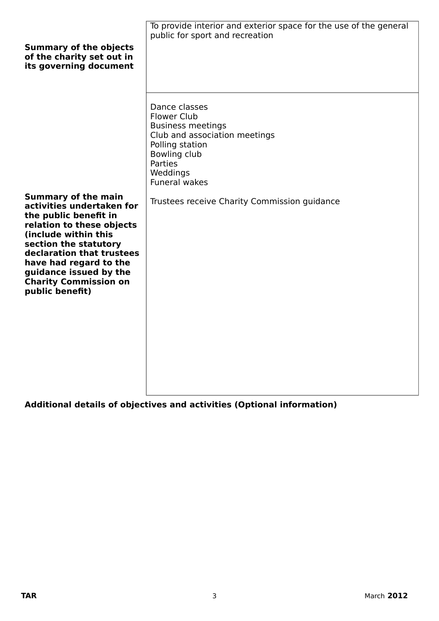| Dance classes<br><b>Flower Club</b><br><b>Business meetings</b><br>Club and association meetings<br>Polling station<br>Bowling club<br>Parties<br>Weddings<br><b>Funeral wakes</b> |
|------------------------------------------------------------------------------------------------------------------------------------------------------------------------------------|
| Trustees receive Charity Commission guidance                                                                                                                                       |
|                                                                                                                                                                                    |

**Additional details of objectives and activities (Optional information)**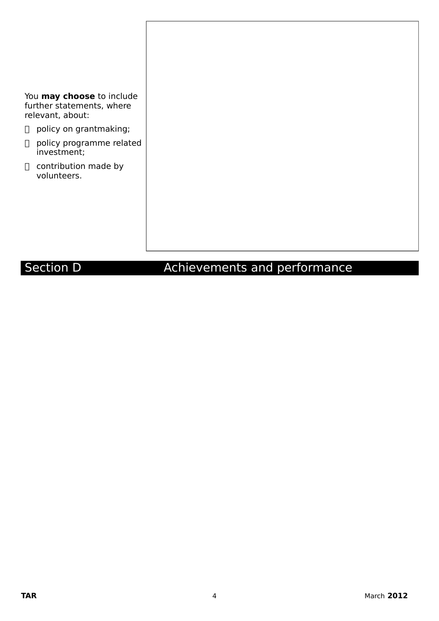You **may choose** to include further statements, where relevant, about:

- policy on grantmaking;
- policy programme related investment;
- □ contribution made by volunteers.

# Section D **Achievements and performance**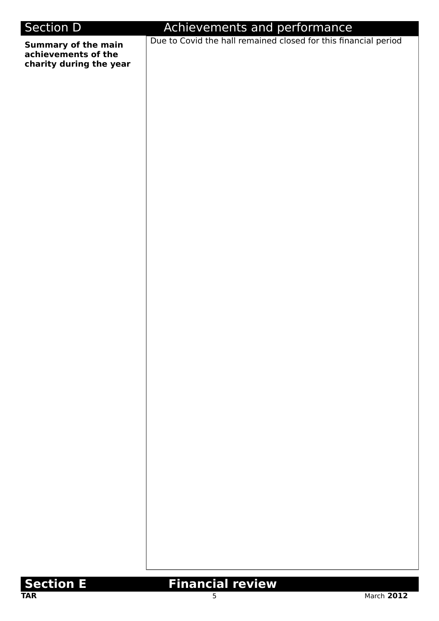# Section D **Achievements and performance Summary of the main achievements of the charity during the year** Due to Covid the hall remained closed for this financial period



# **Section E** Financial review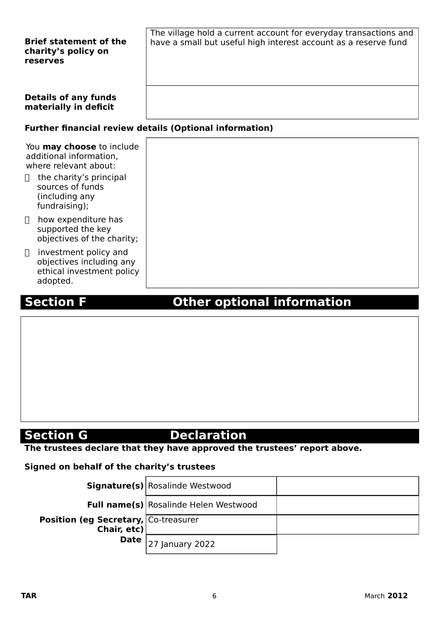| <b>Brief statement of the</b><br>charity's policy on<br>reserves | The village hold a current account for everyday transactions and<br>have a small but useful high interest account as a reserve fund |  |  |
|------------------------------------------------------------------|-------------------------------------------------------------------------------------------------------------------------------------|--|--|
| <b>Details of any funds</b><br>materially in deficit             |                                                                                                                                     |  |  |
| <b>Further financial review details (Optional information)</b>   |                                                                                                                                     |  |  |

|        | You <b>may choose</b> to include<br>additional information,<br>where relevant about:<br>the charity's principal |
|--------|-----------------------------------------------------------------------------------------------------------------|
|        | sources of funds<br>(including any<br>fundraising);                                                             |
| $\Box$ | how expenditure has<br>supported the key<br>objectives of the charity;                                          |
| П      | investment policy and<br>objectives including any<br>ethical investment policy<br>adopted.                      |

# **Section F Communist Contract Other optional information**

# **Section G** Declaration

**The trustees declare that they have approved the trustees' report above.** 

#### **Signed on behalf of the charity's trustees**

| <b>Signature(s)</b> Rosalinde Westwood                        |                                              |  |
|---------------------------------------------------------------|----------------------------------------------|--|
|                                                               | <b>Full name(s)</b> Rosalinde Helen Westwood |  |
| <b>Position (eg Secretary, Co-treasurer</b><br>Chair, $etc$ ) |                                              |  |
|                                                               | <b>Date</b> $\vert$ 27 January 2022          |  |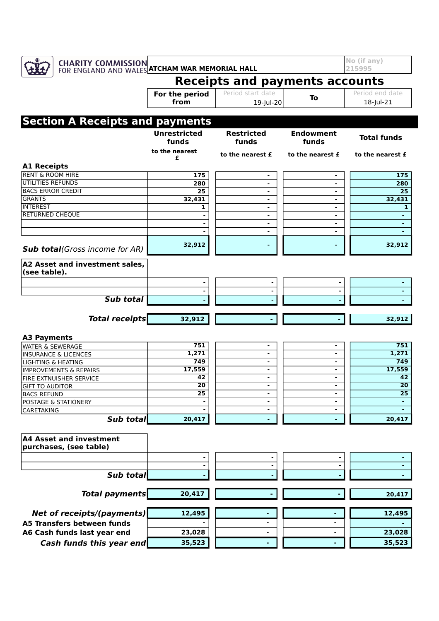

**Total funds**

| АТ АЗЭСС ИНИ ШУСЭСШСНС<br>purchases, (see table) |        |  |        |
|--------------------------------------------------|--------|--|--------|
|                                                  |        |  |        |
|                                                  |        |  |        |
| Sub total                                        |        |  |        |
|                                                  |        |  |        |
| <b>Total payments</b>                            | 20,417 |  | 20,417 |
|                                                  | 12,495 |  | 12,495 |
| <b>Net of receipts/(payments)</b>                |        |  |        |
| A5 Transfers between funds                       |        |  |        |
| A6 Cash funds last year end                      | 23,028 |  | 23,028 |
| Cash funds this year end                         | 35,523 |  | 35,523 |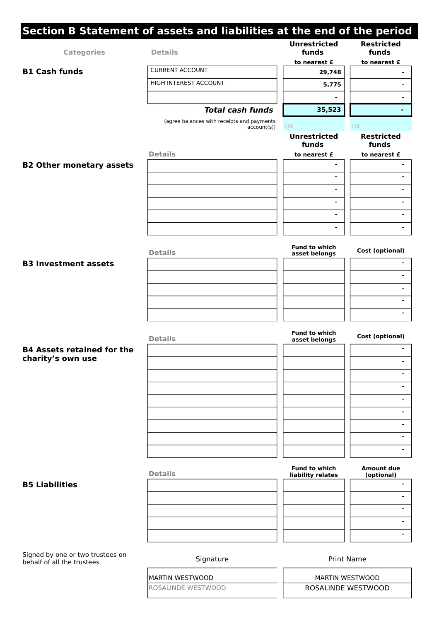|                                   | Section B Statement of assets and liabilities at the end of the period |                                       |                                 |
|-----------------------------------|------------------------------------------------------------------------|---------------------------------------|---------------------------------|
| <b>Categories</b>                 | <b>Details</b>                                                         | <b>Unrestricted</b><br>funds          | <b>Restricted</b><br>funds      |
| <b>B1 Cash funds</b>              | <b>CURRENT ACCOUNT</b>                                                 | to nearest £<br>29,748                | to nearest £                    |
|                                   | HIGH INTEREST ACCOUNT                                                  |                                       |                                 |
|                                   |                                                                        | 5,775                                 |                                 |
|                                   |                                                                        | $\blacksquare$                        |                                 |
|                                   | <b>Total cash funds</b>                                                | 35,523                                |                                 |
|                                   | (agree balances with receipts and payments<br>account(s))              | OK                                    | OK                              |
|                                   |                                                                        | <b>Unrestricted</b><br>funds          | <b>Restricted</b><br>funds      |
|                                   | <b>Details</b>                                                         | to nearest £                          | to nearest £                    |
| <b>B2 Other monetary assets</b>   |                                                                        |                                       |                                 |
|                                   |                                                                        | $\blacksquare$                        |                                 |
|                                   |                                                                        | $\overline{\phantom{a}}$              |                                 |
|                                   |                                                                        | $\blacksquare$                        |                                 |
|                                   |                                                                        | $\blacksquare$                        |                                 |
|                                   |                                                                        | $\overline{\phantom{a}}$              |                                 |
|                                   | <b>Details</b>                                                         | <b>Fund to which</b><br>asset belongs | Cost (optional)                 |
| <b>B3 Investment assets</b>       |                                                                        |                                       |                                 |
|                                   |                                                                        |                                       | $\blacksquare$                  |
|                                   |                                                                        |                                       | -                               |
|                                   |                                                                        |                                       | $\blacksquare$                  |
|                                   |                                                                        |                                       |                                 |
|                                   |                                                                        |                                       |                                 |
|                                   | <b>Details</b>                                                         | <b>Fund to which</b><br>asset belongs | Cost (optional)                 |
| <b>B4 Assets retained for the</b> |                                                                        |                                       |                                 |
| charity's own use                 |                                                                        |                                       | $\blacksquare$                  |
|                                   |                                                                        |                                       |                                 |
|                                   |                                                                        |                                       |                                 |
|                                   |                                                                        |                                       | -                               |
|                                   |                                                                        |                                       | $\overline{\phantom{0}}$        |
|                                   |                                                                        |                                       | -                               |
|                                   |                                                                        |                                       | $\overline{\phantom{a}}$        |
|                                   |                                                                        |                                       | -                               |
|                                   |                                                                        |                                       |                                 |
|                                   | <b>Details</b>                                                         | Fund to which<br>liability relates    | <b>Amount due</b><br>(optional) |
| <b>B5 Liabilities</b>             |                                                                        |                                       |                                 |
|                                   |                                                                        |                                       |                                 |
|                                   |                                                                        |                                       | $\blacksquare$                  |
|                                   |                                                                        |                                       | ۰                               |
|                                   |                                                                        |                                       | $\blacksquare$                  |
|                                   |                                                                        |                                       |                                 |

Signed by one or two trustees on behalf of all the trustees

Signature **Print Name** 

MARTIN WESTWOOD MARTIN WESTWOOD

ROSALINDE WESTWOOD **ROSALINDE WESTWOOD**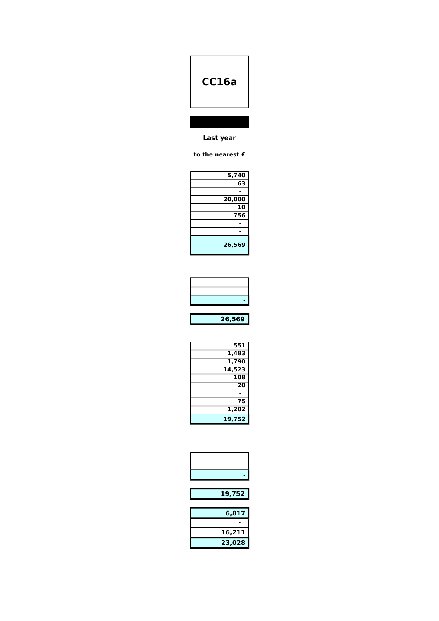# **CC16a**

#### **Last year**

#### **to the nearest £**

| 5,740  |
|--------|
| 63     |
|        |
| 20,000 |
| 10     |
| 756    |
|        |
|        |
| 26,569 |

| 26,569 |
|--------|
|        |
|        |
|        |
|        |

| 551    |
|--------|
| 1,483  |
| 1,790  |
| 14,523 |
| 108    |
| 20     |
|        |
| 75     |
| 1,202  |
| 19,752 |

| 19,752 |
|--------|
|        |
| 6,817  |
|        |
| 16,211 |
| 23,028 |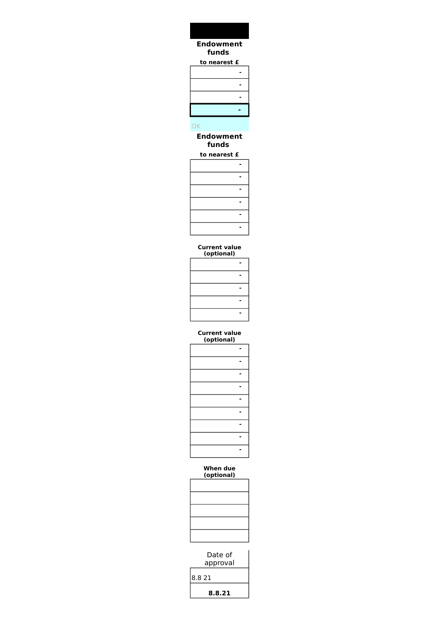#### **to nearest £ - - - - Endowment funds**

## OK

#### **Endowment funds**

#### **to nearest £**

#### **Current value (optional)**

| $v$ renomar, |  |
|--------------|--|
|              |  |
|              |  |
|              |  |
|              |  |
|              |  |

#### **Current value (optional)**

#### **When due (optional)**

| Date of<br>approval |
|---------------------|
| 8.8 21              |
| 8.8.21              |